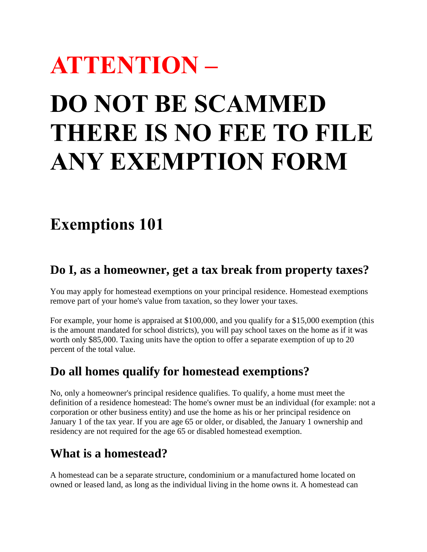# **ATTENTION – DO NOT BE SCAMMED THERE IS NO FEE TO FILE ANY EXEMPTION FORM**

## **Exemptions 101**

### **Do I, as a homeowner, get a tax break from property taxes?**

You may apply for homestead exemptions on your principal residence. Homestead exemptions remove part of your home's value from taxation, so they lower your taxes.

For example, your home is appraised at \$100,000, and you qualify for a \$15,000 exemption (this is the amount mandated for school districts), you will pay school taxes on the home as if it was worth only \$85,000. Taxing units have the option to offer a separate exemption of up to 20 percent of the total value.

### **Do all homes qualify for homestead exemptions?**

No, only a homeowner's principal residence qualifies. To qualify, a home must meet the definition of a residence homestead: The home's owner must be an individual (for example: not a corporation or other business entity) and use the home as his or her principal residence on January 1 of the tax year. If you are age 65 or older, or disabled, the January 1 ownership and residency are not required for the age 65 or disabled homestead exemption.

## **What is a homestead?**

A homestead can be a separate structure, condominium or a manufactured home located on owned or leased land, as long as the individual living in the home owns it. A homestead can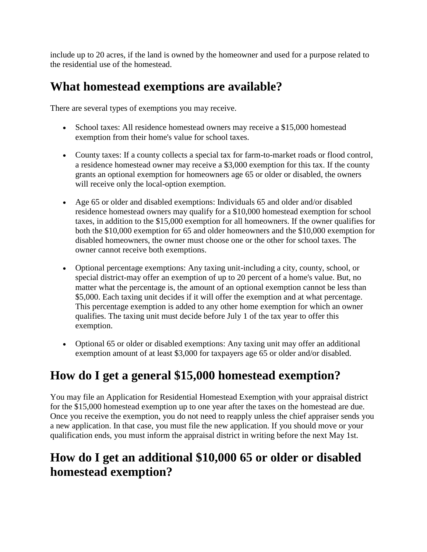include up to 20 acres, if the land is owned by the homeowner and used for a purpose related to the residential use of the homestead.

## **What homestead exemptions are available?**

There are several types of exemptions you may receive.

- School taxes: All residence homestead owners may receive a \$15,000 homestead exemption from their home's value for school taxes.
- County taxes: If a county collects a special tax for farm-to-market roads or flood control, a residence homestead owner may receive a \$3,000 exemption for this tax. If the county grants an optional exemption for homeowners age 65 or older or disabled, the owners will receive only the local-option exemption.
- Age 65 or older and disabled exemptions: Individuals 65 and older and/or disabled residence homestead owners may qualify for a \$10,000 homestead exemption for school taxes, in addition to the \$15,000 exemption for all homeowners. If the owner qualifies for both the \$10,000 exemption for 65 and older homeowners and the \$10,000 exemption for disabled homeowners, the owner must choose one or the other for school taxes. The owner cannot receive both exemptions.
- Optional percentage exemptions: Any taxing unit-including a city, county, school, or special district-may offer an exemption of up to 20 percent of a home's value. But, no matter what the percentage is, the amount of an optional exemption cannot be less than \$5,000. Each taxing unit decides if it will offer the exemption and at what percentage. This percentage exemption is added to any other home exemption for which an owner qualifies. The taxing unit must decide before July 1 of the tax year to offer this exemption.
- Optional 65 or older or disabled exemptions: Any taxing unit may offer an additional exemption amount of at least \$3,000 for taxpayers age 65 or older and/or disabled.

## **How do I get a general \$15,000 homestead exemption?**

You may file an [Application for Residential Homestead Exemption](http://www.window.state.tx.us/taxinfo/taxforms/50-114.pdf) with your appraisal district for the \$15,000 homestead exemption up to one year after the taxes on the homestead are due. Once you receive the exemption, you do not need to reapply unless the chief appraiser sends you a new application. In that case, you must file the new application. If you should move or your qualification ends, you must inform the appraisal district in writing before the next May 1st.

## **How do I get an additional \$10,000 65 or older or disabled homestead exemption?**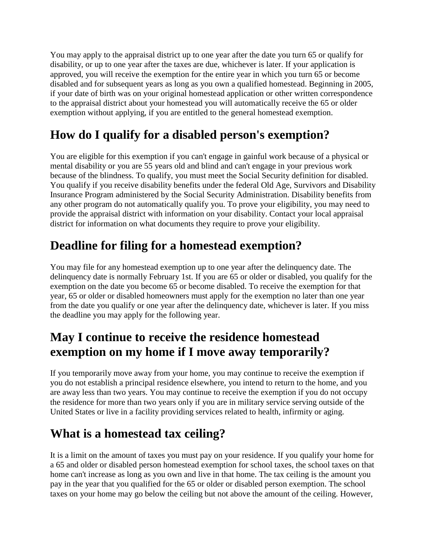You may apply to the appraisal district up to one year after the date you turn 65 or qualify for disability, or up to one year after the taxes are due, whichever is later. If your application is approved, you will receive the exemption for the entire year in which you turn 65 or become disabled and for subsequent years as long as you own a qualified homestead. Beginning in 2005, if your date of birth was on your original homestead application or other written correspondence to the appraisal district about your homestead you will automatically receive the 65 or older exemption without applying, if you are entitled to the general homestead exemption.

## **How do I qualify for a disabled person's exemption?**

You are eligible for this exemption if you can't engage in gainful work because of a physical or mental disability or you are 55 years old and blind and can't engage in your previous work because of the blindness. To qualify, you must meet the Social Security definition for disabled. You qualify if you receive disability benefits under the federal Old Age, Survivors and Disability Insurance Program administered by the Social Security Administration. Disability benefits from any other program do not automatically qualify you. To prove your eligibility, you may need to provide the appraisal district with information on your disability. Contact your local appraisal district for information on what documents they require to prove your eligibility.

## **Deadline for filing for a homestead exemption?**

You may file for any homestead exemption up to one year after the delinquency date. The delinquency date is normally February 1st. If you are 65 or older or disabled, you qualify for the exemption on the date you become 65 or become disabled. To receive the exemption for that year, 65 or older or disabled homeowners must apply for the exemption no later than one year from the date you qualify or one year after the delinquency date, whichever is later. If you miss the deadline you may apply for the following year.

## **May I continue to receive the residence homestead exemption on my home if I move away temporarily?**

If you temporarily move away from your home, you may continue to receive the exemption if you do not establish a principal residence elsewhere, you intend to return to the home, and you are away less than two years. You may continue to receive the exemption if you do not occupy the residence for more than two years only if you are in military service serving outside of the United States or live in a facility providing services related to health, infirmity or aging.

## **What is a homestead tax ceiling?**

It is a limit on the amount of taxes you must pay on your residence. If you qualify your home for a 65 and older or disabled person homestead exemption for school taxes, the school taxes on that home can't increase as long as you own and live in that home. The tax ceiling is the amount you pay in the year that you qualified for the 65 or older or disabled person exemption. The school taxes on your home may go below the ceiling but not above the amount of the ceiling. However,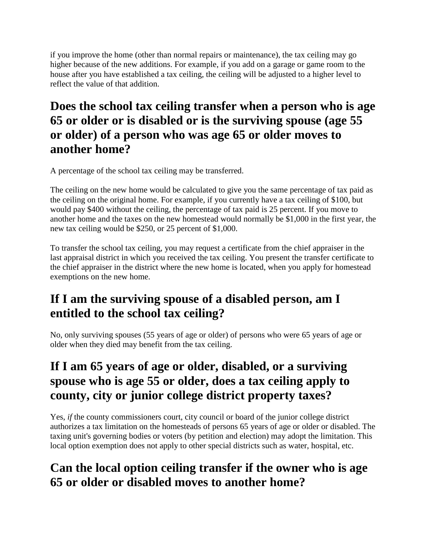if you improve the home (other than normal repairs or maintenance), the tax ceiling may go higher because of the new additions. For example, if you add on a garage or game room to the house after you have established a tax ceiling, the ceiling will be adjusted to a higher level to reflect the value of that addition.

### **Does the school tax ceiling transfer when a person who is age 65 or older or is disabled or is the surviving spouse (age 55 or older) of a person who was age 65 or older moves to another home?**

A percentage of the school tax ceiling may be transferred.

The ceiling on the new home would be calculated to give you the same percentage of tax paid as the ceiling on the original home. For example, if you currently have a tax ceiling of \$100, but would pay \$400 without the ceiling, the percentage of tax paid is 25 percent. If you move to another home and the taxes on the new homestead would normally be \$1,000 in the first year, the new tax ceiling would be \$250, or 25 percent of \$1,000.

To transfer the school tax ceiling, you may request a certificate from the chief appraiser in the last appraisal district in which you received the tax ceiling. You present the transfer certificate to the chief appraiser in the district where the new home is located, when you apply for homestead exemptions on the new home.

## **If I am the surviving spouse of a disabled person, am I entitled to the school tax ceiling?**

No, only surviving spouses (55 years of age or older) of persons who were 65 years of age or older when they died may benefit from the tax ceiling.

## **If I am 65 years of age or older, disabled, or a surviving spouse who is age 55 or older, does a tax ceiling apply to county, city or junior college district property taxes?**

Yes, *if* the county commissioners court, city council or board of the junior college district authorizes a tax limitation on the homesteads of persons 65 years of age or older or disabled. The taxing unit's governing bodies or voters (by petition and election) may adopt the limitation. This local option exemption does not apply to other special districts such as water, hospital, etc.

## **Can the local option ceiling transfer if the owner who is age 65 or older or disabled moves to another home?**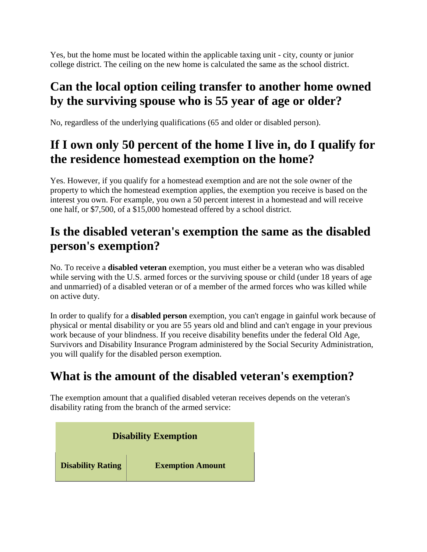Yes, but the home must be located within the applicable taxing unit - city, county or junior college district. The ceiling on the new home is calculated the same as the school district.

## **Can the local option ceiling transfer to another home owned by the surviving spouse who is 55 year of age or older?**

No, regardless of the underlying qualifications (65 and older or disabled person).

## **If I own only 50 percent of the home I live in, do I qualify for the residence homestead exemption on the home?**

Yes. However, if you qualify for a homestead exemption and are not the sole owner of the property to which the homestead exemption applies, the exemption you receive is based on the interest you own. For example, you own a 50 percent interest in a homestead and will receive one half, or \$7,500, of a \$15,000 homestead offered by a school district.

## **Is the disabled veteran's exemption the same as the disabled person's exemption?**

No. To receive a **disabled veteran** exemption, you must either be a veteran who was disabled while serving with the U.S. armed forces or the surviving spouse or child (under 18 years of age and unmarried) of a disabled veteran or of a member of the armed forces who was killed while on active duty.

In order to qualify for a **disabled person** exemption, you can't engage in gainful work because of physical or mental disability or you are 55 years old and blind and can't engage in your previous work because of your blindness. If you receive disability benefits under the federal Old Age, Survivors and Disability Insurance Program administered by the Social Security Administration, you will qualify for the disabled person exemption.

## **What is the amount of the disabled veteran's exemption?**

The exemption amount that a qualified disabled veteran receives depends on the veteran's disability rating from the branch of the armed service:

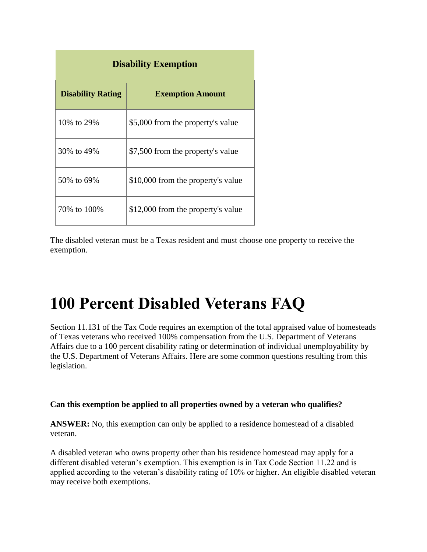| <b>Disability Exemption</b> |                                    |
|-----------------------------|------------------------------------|
| <b>Disability Rating</b>    | <b>Exemption Amount</b>            |
| 10\% to 29\%                | \$5,000 from the property's value  |
| 30% to 49%                  | \$7,500 from the property's value  |
| 50% to 69%                  | \$10,000 from the property's value |
| 70% to 100%                 | \$12,000 from the property's value |

The disabled veteran must be a Texas resident and must choose one property to receive the exemption.

## **100 Percent Disabled Veterans FAQ**

Section 11.131 of the Tax Code requires an exemption of the total appraised value of homesteads of Texas veterans who received 100% compensation from the U.S. Department of Veterans Affairs due to a 100 percent disability rating or determination of individual unemployability by the U.S. Department of Veterans Affairs. Here are some common questions resulting from this legislation.

### **Can this exemption be applied to all properties owned by a veteran who qualifies?**

**ANSWER:** No, this exemption can only be applied to a residence homestead of a disabled veteran.

A disabled veteran who owns property other than his residence homestead may apply for a different disabled veteran's exemption. This exemption is in Tax Code Section 11.22 and is applied according to the veteran's disability rating of 10% or higher. An eligible disabled veteran may receive both exemptions.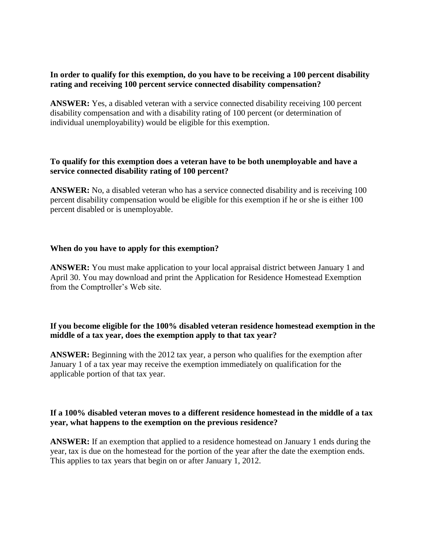### **In order to qualify for this exemption, do you have to be receiving a 100 percent disability rating and receiving 100 percent service connected disability compensation?**

**ANSWER:** Yes, a disabled veteran with a service connected disability receiving 100 percent disability compensation and with a disability rating of 100 percent (or determination of individual unemployability) would be eligible for this exemption.

### **To qualify for this exemption does a veteran have to be both unemployable and have a service connected disability rating of 100 percent?**

**ANSWER:** No, a disabled veteran who has a service connected disability and is receiving 100 percent disability compensation would be eligible for this exemption if he or she is either 100 percent disabled or is unemployable.

### **When do you have to apply for this exemption?**

**ANSWER:** You must make application to your local appraisal district between January 1 and April 30. You may download and print the [Application for Residence Homestead Exemption](http://www.window.state.tx.us/taxinfo/taxforms/50-114.pdf) from the Comptroller's Web site.

### **If you become eligible for the 100% disabled veteran residence homestead exemption in the middle of a tax year, does the exemption apply to that tax year?**

**ANSWER:** Beginning with the 2012 tax year, a person who qualifies for the exemption after January 1 of a tax year may receive the exemption immediately on qualification for the applicable portion of that tax year.

### **If a 100% disabled veteran moves to a different residence homestead in the middle of a tax year, what happens to the exemption on the previous residence?**

**ANSWER:** If an exemption that applied to a residence homestead on January 1 ends during the year, tax is due on the homestead for the portion of the year after the date the exemption ends. This applies to tax years that begin on or after January 1, 2012.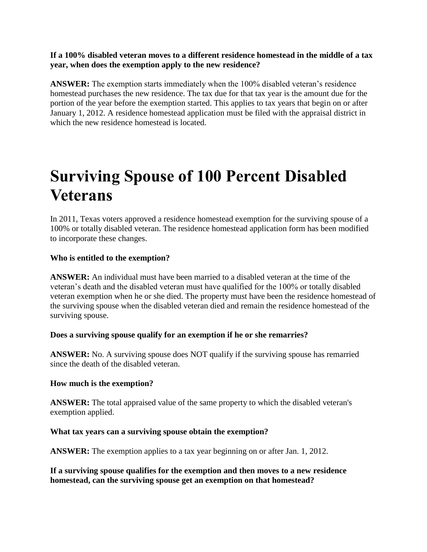### **If a 100% disabled veteran moves to a different residence homestead in the middle of a tax year, when does the exemption apply to the new residence?**

**ANSWER:** The exemption starts immediately when the 100% disabled veteran's residence homestead purchases the new residence. The tax due for that tax year is the amount due for the portion of the year before the exemption started. This applies to tax years that begin on or after January 1, 2012. A [residence homestead application](http://www.window.state.tx.us/taxinfo/taxforms/50-114.pdf) must be filed with the appraisal district in which the new residence homestead is located.

## **Surviving Spouse of 100 Percent Disabled Veterans**

In 2011, Texas voters approved a residence homestead exemption for the surviving spouse of a 100% or totally disabled veteran. The [residence homestead application form](http://www.window.state.tx.us/taxinfo/taxforms/50-114.pdf) has been modified to incorporate these changes.

### **Who is entitled to the exemption?**

**ANSWER:** An individual must have been married to a disabled veteran at the time of the veteran's death and the disabled veteran must have qualified for the 100% or totally disabled veteran exemption when he or she died. The property must have been the residence homestead of the surviving spouse when the disabled veteran died and remain the residence homestead of the surviving spouse.

#### **Does a surviving spouse qualify for an exemption if he or she remarries?**

**ANSWER:** No. A surviving spouse does NOT qualify if the surviving spouse has remarried since the death of the disabled veteran.

#### **How much is the exemption?**

**ANSWER:** The total appraised value of the same property to which the disabled veteran's exemption applied.

#### **What tax years can a surviving spouse obtain the exemption?**

**ANSWER:** The exemption applies to a tax year beginning on or after Jan. 1, 2012.

**If a surviving spouse qualifies for the exemption and then moves to a new residence homestead, can the surviving spouse get an exemption on that homestead?**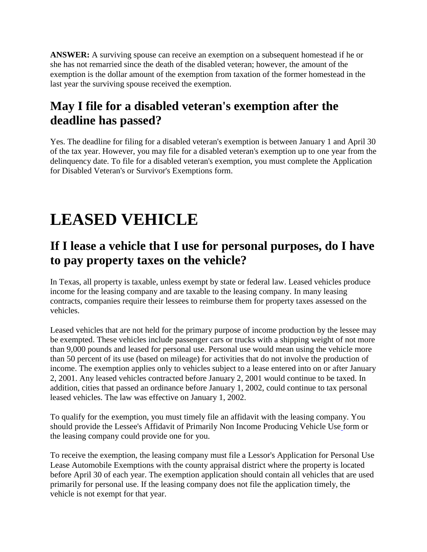**ANSWER:** A surviving spouse can receive an exemption on a subsequent homestead if he or she has not remarried since the death of the disabled veteran; however, the amount of the exemption is the dollar amount of the exemption from taxation of the former homestead in the last year the surviving spouse received the exemption.

## **May I file for a disabled veteran's exemption after the deadline has passed?**

Yes. The deadline for filing for a disabled veteran's exemption is between January 1 and April 30 of the tax year. However, you may file for a disabled veteran's exemption up to one year from the delinquency date. To file for a disabled veteran's exemption, you must complete the [Application](http://www.window.state.tx.us/taxinfo/taxforms/50-135.pdf)  [for Disabled Veteran's or Survivor's Exemptions](http://www.window.state.tx.us/taxinfo/taxforms/50-135.pdf) form.

## **LEASED VEHICLE**

### **If I lease a vehicle that I use for personal purposes, do I have to pay property taxes on the vehicle?**

In Texas, all property is taxable, unless exempt by state or federal law. Leased vehicles produce income for the leasing company and are taxable to the leasing company. In many leasing contracts, companies require their lessees to reimburse them for property taxes assessed on the vehicles.

Leased vehicles that are not held for the primary purpose of income production by the lessee may be exempted. These vehicles include passenger cars or trucks with a shipping weight of not more than 9,000 pounds and leased for personal use. Personal use would mean using the vehicle more than 50 percent of its use (based on mileage) for activities that do not involve the production of income. The exemption applies only to vehicles subject to a lease entered into on or after January 2, 2001. Any leased vehicles contracted before January 2, 2001 would continue to be taxed. In addition, cities that passed an ordinance before January 1, 2002, could continue to tax personal leased vehicles. The law was effective on January 1, 2002.

To qualify for the exemption, you must timely file an affidavit with the leasing company. You should provide the [Lessee's Affidavit of Primarily Non Income Producing Vehicle Use](http://www.window.state.tx.us/taxinfo/taxforms/50-285.pdf) form or the leasing company could provide one for you.

To receive the exemption, the leasing company must file a [Lessor's Application for Personal Use](http://www.window.state.tx.us/taxinfo/taxforms/50-286.pdf)  [Lease Automobile Exemptions w](http://www.window.state.tx.us/taxinfo/taxforms/50-286.pdf)ith the county appraisal district where the property is located before April 30 of each year. The exemption application should contain all vehicles that are used primarily for personal use. If the leasing company does not file the application timely, the vehicle is not exempt for that year.